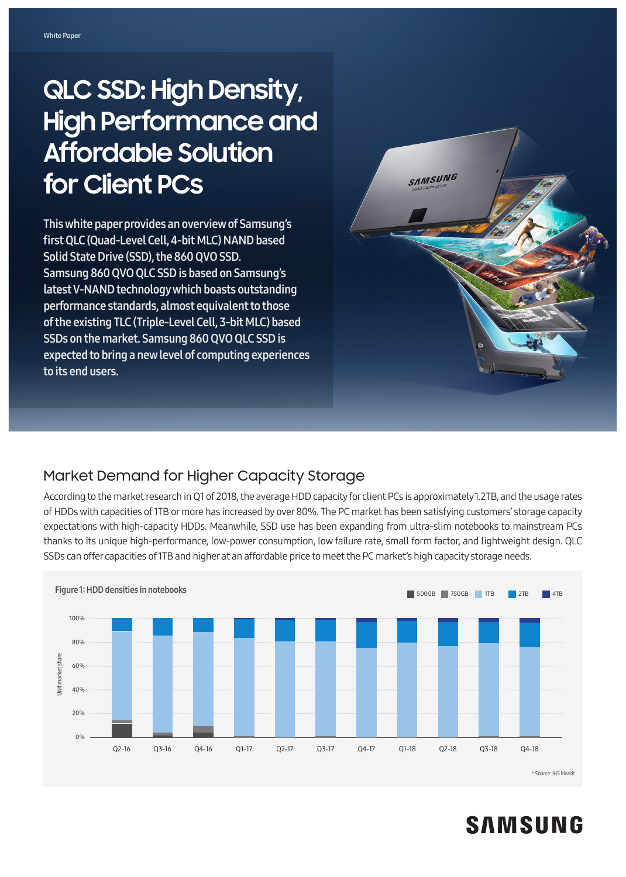# **QLC SSD: High Density, High Performance and Affordable Solution for Client PCs**

This white paper provides an overview of Samsung's first QLC (Quad-Level Cell, 4-bit MLC) NAND based Solid State Drive (SSD), the 860 QVO SSD. Samsung 860 QVO QLC SSD is based on Samsung's latest V-NAND technology which boasts outstanding performance standards, almost equivalent to those of the existing TLC (Triple-Level Cell, 3-bit MLC) based SSDs on the market. Samsung 860 QVO QLC SSD is expected to bring a new level of computing experiences to its end users.



# Market Demand for Higher Capacity Storage

According to the market research in Q1 of 2018, the average HDD capacity for client PCs is approximately 1.2TB, and the usage rates of HDDs with capacities of 1TB or more has increased by over 80%. The PC market has been satisfying customers' storage capacity expectations with high-capacity HDDs. Meanwhile, SSD use has been expanding from ultra-slim notebooks to mainstream PCs thanks to its unique high-performance, low-power consumption, low failure rate, small form factor, and lightweight design. QLC SSDs can offer capacities of 1TB and higher at an affordable price to meet the PC market's high capacity storage needs.



# **SAMSUNG**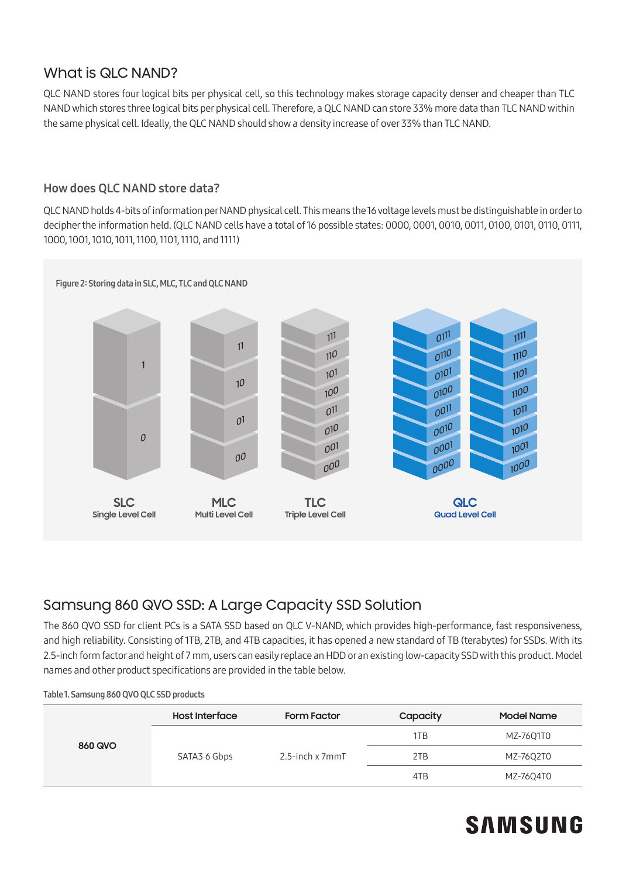# What is QLC NAND?

QLC NAND stores four logical bits per physical cell, so this technology makes storage capacity denser and cheaper than TLC NAND which stores three logical bits per physical cell. Therefore, a QLC NAND can store 33% more data than TLC NAND within the same physical cell. Ideally, the QLC NAND should show a density increase of over 33% than TLC NAND.

### How does QLC NAND store data?

QLC NAND holds 4-bits of information per NAND physical cell. This means the 16 voltage levels must be distinguishable in order to decipher the information held. (QLC NAND cells have a total of 16 possible states: 0000, 0001, 0010, 0011, 0100, 0101, 0110, 0111, 1000, 1001, 1010, 1011, 1100, 1101, 1110, and 1111)



# Samsung 860 QVO SSD: A Large Capacity SSD Solution

The 860 QVO SSD for client PCs is a SATA SSD based on QLC V-NAND, which provides high-performance, fast responsiveness, and high reliability. Consisting of 1TB, 2TB, and 4TB capacities, it has opened a new standard of TB (terabytes) for SSDs. With its 2.5-inch form factor and height of 7 mm, users can easily replace an HDD or an existing low-capacity SSD with this product. Model names and other product specifications are provided in the table below.

| Table 1. Samsung 860 QVO QLC SSD products |  |  |  |
|-------------------------------------------|--|--|--|
|-------------------------------------------|--|--|--|

| <b>860 QVO</b> | <b>Host Interface</b> | <b>Form Factor</b> | Capacity | <b>Model Name</b> |
|----------------|-----------------------|--------------------|----------|-------------------|
|                | SATA3 6 Gbps          | 2.5-inch x 7mmT    | 1TB      | MZ-76Q1T0         |
|                |                       |                    | 2TB      | MZ-76Q2T0         |
|                |                       |                    | 4TB      | MZ-76Q4T0         |

# **SAMSUNG**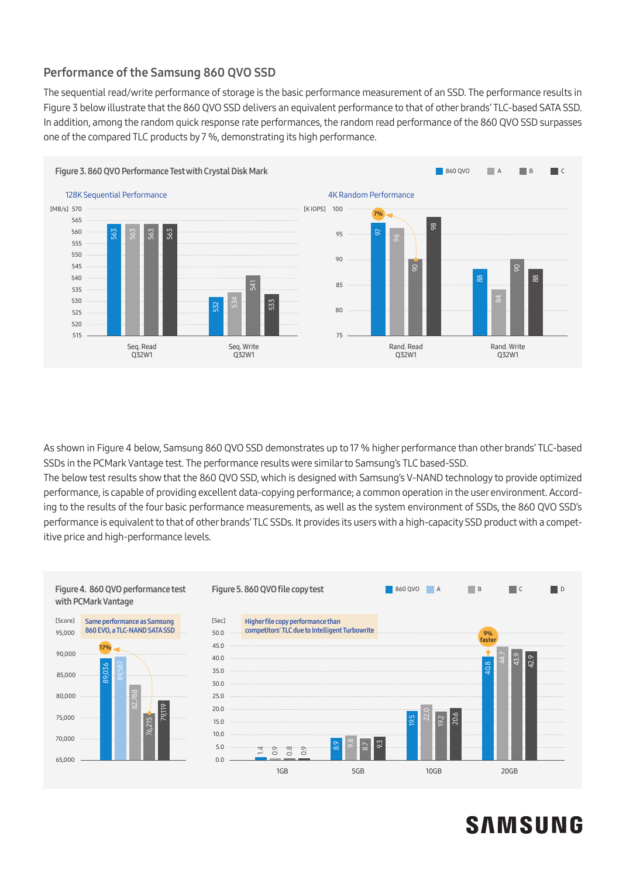### Performance of the Samsung 860 QVO SSD

The sequential read/write performance of storage is the basic performance measurement of an SSD. The performance results in Figure 3 below illustrate that the 860 QVO SSD delivers an equivalent performance to that of other brands' TLC-based SATA SSD. In addition, among the random quick response rate performances, the random read performance of the 860 QVO SSD surpasses one of the compared TLC products by 7 %, demonstrating its high performance.



As shown in Figure 4 below, Samsung 860 QVO SSD demonstrates up to 17 % higher performance than other brands' TLC-based SSDs in the PCMark Vantage test. The performance results were similar to Samsung's TLC based-SSD.

The below test results show that the 860 QVO SSD, which is designed with Samsung's V-NAND technology to provide optimized performance, is capable of providing excellent data-copying performance; a common operation in the user environment. According to the results of the four basic performance measurements, as well as the system environment of SSDs, the 860 QVO SSD's performance is equivalent to that of other brands' TLC SSDs. It provides its users with a high-capacity SSD product with a competitive price and high-performance levels.



# **SAMSUNG**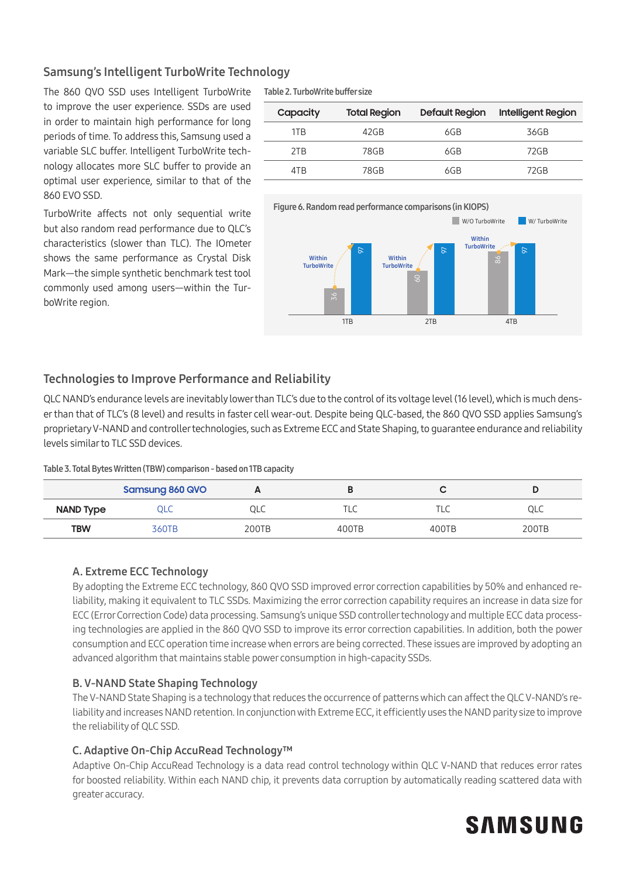### Samsung's Intelligent TurboWrite Technology

The 860 QVO SSD uses Intelligent TurboWrite to improve the user experience. SSDs are used in order to maintain high performance for long periods of time. To address this, Samsung used a variable SLC buffer. Intelligent TurboWrite technology allocates more SLC buffer to provide an optimal user experience, similar to that of the 860 EVO SSD.

TurboWrite affects not only sequential write but also random read performance due to QLC's characteristics (slower than TLC). The IOmeter shows the same performance as Crystal Disk Mark—the simple synthetic benchmark test tool commonly used among users—within the TurboWrite region.

Table 2. TurboWrite buffer size

| Capacity | <b>Total Region</b> | <b>Default Region</b> | <b>Intelligent Region</b> |
|----------|---------------------|-----------------------|---------------------------|
| 1TB      | 42GB                | 6GB                   | 36GB                      |
| 2TB      | 78GB                | 6GB                   | 72GB                      |
| 4TB      | 78GB                | 6GB                   | 72GB                      |



### Technologies to Improve Performance and Reliability

QLC NAND's endurance levels are inevitably lower than TLC's due to the control of its voltage level (16 level), which is much denser than that of TLC's (8 level) and results in faster cell wear-out. Despite being QLC-based, the 860 QVO SSD applies Samsung's proprietary V-NAND and controller technologies, such as Extreme ECC and State Shaping, to guarantee endurance and reliability levels similar to TLC SSD devices.

Table 3. Total Bytes Written (TBW) comparison - based on 1TB capacity

|                  | Samsung 860 QVO |       |       |       |       |
|------------------|-----------------|-------|-------|-------|-------|
| <b>NAND Type</b> | QLC             | QLC   | └     | └     | QLC   |
| <b>TBW</b>       | 360TB           | 200TB | 400TB | 400TB | 200TB |

#### A. Extreme ECC Technology

By adopting the Extreme ECC technology, 860 QVO SSD improved error correction capabilities by 50% and enhanced reliability, making it equivalent to TLC SSDs. Maximizing the error correction capability requires an increase in data size for ECC (Error Correction Code) data processing. Samsung's unique SSD controller technology and multiple ECC data processing technologies are applied in the 860 QVO SSD to improve its error correction capabilities. In addition, both the power consumption and ECC operation time increase when errors are being corrected. These issues are improved by adopting an advanced algorithm that maintains stable power consumption in high-capacity SSDs.

#### B. V-NAND State Shaping Technology

The V-NAND State Shaping is a technology that reduces the occurrence of patterns which can affect the QLC V-NAND's reliability and increases NAND retention. In conjunction with Extreme ECC, it efficiently uses the NAND parity size to improve the reliability of QLC SSD.

#### C. Adaptive On-Chip AccuRead Technology™

Adaptive On-Chip AccuRead Technology is a data read control technology within QLC V-NAND that reduces error rates for boosted reliability. Within each NAND chip, it prevents data corruption by automatically reading scattered data with greater accuracy.